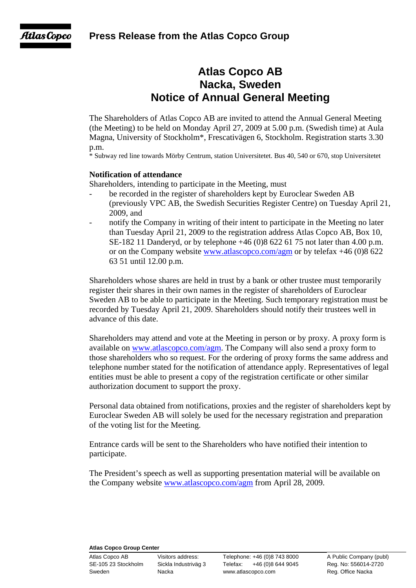Atlas Copco

# **Atlas Copco AB Nacka, Sweden Notice of Annual General Meeting**

The Shareholders of Atlas Copco AB are invited to attend the Annual General Meeting (the Meeting) to be held on Monday April 27, 2009 at 5.00 p.m. (Swedish time) at Aula Magna, University of Stockholm\*, Frescativägen 6, Stockholm. Registration starts 3.30 p.m.

\* Subway red line towards Mörby Centrum, station Universitetet. Bus 40, 540 or 670, stop Universitetet

## **Notification of attendance**

Shareholders, intending to participate in the Meeting, must

- be recorded in the register of shareholders kept by Euroclear Sweden AB (previously VPC AB, the Swedish Securities Register Centre) on Tuesday April 21, 2009, and
- notify the Company in writing of their intent to participate in the Meeting no later than Tuesday April 21, 2009 to the registration address Atlas Copco AB, Box 10, SE-182 11 Danderyd, or by telephone +46 (0)8 622 61 75 not later than 4.00 p.m. or on the Company website www.atlascopco.com/agm or by telefax +46 (0)8 622 63 51 until 12.00 p.m.

Shareholders whose shares are held in trust by a bank or other trustee must temporarily register their shares in their own names in the register of shareholders of Euroclear Sweden AB to be able to participate in the Meeting. Such temporary registration must be recorded by Tuesday April 21, 2009. Shareholders should notify their trustees well in advance of this date.

Shareholders may attend and vote at the Meeting in person or by proxy. A proxy form is available on www.atlascopco.com/agm. The Company will also send a proxy form to those shareholders who so request. For the ordering of proxy forms the same address and telephone number stated for the notification of attendance apply. Representatives of legal entities must be able to present a copy of the registration certificate or other similar authorization document to support the proxy.

Personal data obtained from notifications, proxies and the register of shareholders kept by Euroclear Sweden AB will solely be used for the necessary registration and preparation of the voting list for the Meeting.

Entrance cards will be sent to the Shareholders who have notified their intention to participate.

The President's speech as well as supporting presentation material will be available on the Company website www.atlascopco.com/agm from April 28, 2009.

#### **Atlas Copco Group Center**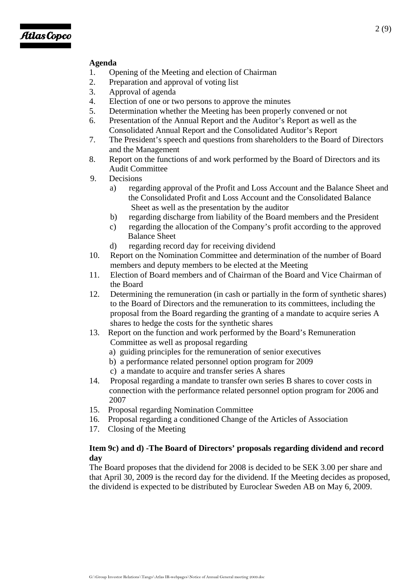## **Agenda**

- 1. Opening of the Meeting and election of Chairman
- 2. Preparation and approval of voting list
- 3. Approval of agenda
- 4. Election of one or two persons to approve the minutes
- 5. Determination whether the Meeting has been properly convened or not
- 6. Presentation of the Annual Report and the Auditor's Report as well as the Consolidated Annual Report and the Consolidated Auditor's Report
- 7. The President's speech and questions from shareholders to the Board of Directors and the Management
- 8. Report on the functions of and work performed by the Board of Directors and its Audit Committee
- 9. Decisions
	- a) regarding approval of the Profit and Loss Account and the Balance Sheet and the Consolidated Profit and Loss Account and the Consolidated Balance Sheet as well as the presentation by the auditor
	- b) regarding discharge from liability of the Board members and the President
	- c) regarding the allocation of the Company's profit according to the approved Balance Sheet
	- d) regarding record day for receiving dividend
- 10. Report on the Nomination Committee and determination of the number of Board members and deputy members to be elected at the Meeting
- 11. Election of Board members and of Chairman of the Board and Vice Chairman of the Board
- 12. Determining the remuneration (in cash or partially in the form of synthetic shares) to the Board of Directors and the remuneration to its committees, including the proposal from the Board regarding the granting of a mandate to acquire series A shares to hedge the costs for the synthetic shares
- 13. Report on the function and work performed by the Board's Remuneration Committee as well as proposal regarding
	- a) guiding principles for the remuneration of senior executives
	- b) a performance related personnel option program for 2009
	- c) a mandate to acquire and transfer series A shares
- 14. Proposal regarding a mandate to transfer own series B shares to cover costs in connection with the performance related personnel option program for 2006 and 2007
- 15. Proposal regarding Nomination Committee
- 16. Proposal regarding a conditioned Change of the Articles of Association
- 17. Closing of the Meeting

## **Item 9c) and d) -The Board of Directors' proposals regarding dividend and record day**

The Board proposes that the dividend for 2008 is decided to be SEK 3.00 per share and that April 30, 2009 is the record day for the dividend. If the Meeting decides as proposed, the dividend is expected to be distributed by Euroclear Sweden AB on May 6, 2009.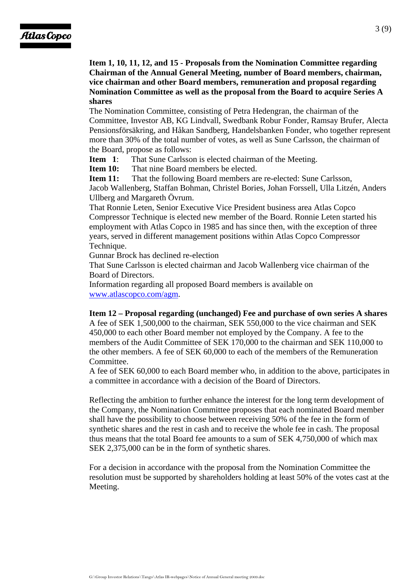**Item 1, 10, 11, 12, and 15 - Proposals from the Nomination Committee regarding Chairman of the Annual General Meeting, number of Board members, chairman, vice chairman and other Board members, remuneration and proposal regarding Nomination Committee as well as the proposal from the Board to acquire Series A shares** 

The Nomination Committee, consisting of Petra Hedengran, the chairman of the Committee, Investor AB, KG Lindvall, Swedbank Robur Fonder, Ramsay Brufer, Alecta Pensionsförsäkring, and Håkan Sandberg, Handelsbanken Fonder, who together represent more than 30% of the total number of votes, as well as Sune Carlsson, the chairman of the Board, propose as follows:

**Item 1**: That Sune Carlsson is elected chairman of the Meeting.

**Item 10:** That nine Board members be elected.

**Item 11:** That the following Board members are re-elected: Sune Carlsson,

Jacob Wallenberg, Staffan Bohman, Christel Bories, Johan Forssell, Ulla Litzén, Anders Ullberg and Margareth Övrum.

That Ronnie Leten, Senior Executive Vice President business area Atlas Copco Compressor Technique is elected new member of the Board. Ronnie Leten started his employment with Atlas Copco in 1985 and has since then, with the exception of three years, served in different management positions within Atlas Copco Compressor Technique.

Gunnar Brock has declined re-election

That Sune Carlsson is elected chairman and Jacob Wallenberg vice chairman of the Board of Directors.

Information regarding all proposed Board members is available on www.atlascopco.com/agm.

## **Item 12 – Proposal regarding (unchanged) Fee and purchase of own series A shares**

A fee of SEK 1,500,000 to the chairman, SEK 550,000 to the vice chairman and SEK 450,000 to each other Board member not employed by the Company. A fee to the members of the Audit Committee of SEK 170,000 to the chairman and SEK 110,000 to the other members. A fee of SEK 60,000 to each of the members of the Remuneration Committee.

A fee of SEK 60,000 to each Board member who, in addition to the above, participates in a committee in accordance with a decision of the Board of Directors.

Reflecting the ambition to further enhance the interest for the long term development of the Company, the Nomination Committee proposes that each nominated Board member shall have the possibility to choose between receiving 50% of the fee in the form of synthetic shares and the rest in cash and to receive the whole fee in cash. The proposal thus means that the total Board fee amounts to a sum of SEK 4,750,000 of which max SEK 2,375,000 can be in the form of synthetic shares.

For a decision in accordance with the proposal from the Nomination Committee the resolution must be supported by shareholders holding at least 50% of the votes cast at the Meeting.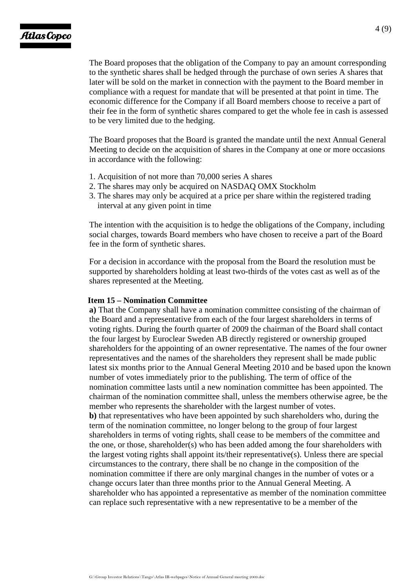The Board proposes that the obligation of the Company to pay an amount corresponding to the synthetic shares shall be hedged through the purchase of own series A shares that later will be sold on the market in connection with the payment to the Board member in compliance with a request for mandate that will be presented at that point in time. The economic difference for the Company if all Board members choose to receive a part of their fee in the form of synthetic shares compared to get the whole fee in cash is assessed to be very limited due to the hedging.

The Board proposes that the Board is granted the mandate until the next Annual General Meeting to decide on the acquisition of shares in the Company at one or more occasions in accordance with the following:

- 1. Acquisition of not more than 70,000 series A shares
- 2. The shares may only be acquired on NASDAQ OMX Stockholm
- 3. The shares may only be acquired at a price per share within the registered trading interval at any given point in time

The intention with the acquisition is to hedge the obligations of the Company, including social charges, towards Board members who have chosen to receive a part of the Board fee in the form of synthetic shares.

For a decision in accordance with the proposal from the Board the resolution must be supported by shareholders holding at least two-thirds of the votes cast as well as of the shares represented at the Meeting.

#### **Item 15 – Nomination Committee**

**a)** That the Company shall have a nomination committee consisting of the chairman of the Board and a representative from each of the four largest shareholders in terms of voting rights. During the fourth quarter of 2009 the chairman of the Board shall contact the four largest by Euroclear Sweden AB directly registered or ownership grouped shareholders for the appointing of an owner representative. The names of the four owner representatives and the names of the shareholders they represent shall be made public latest six months prior to the Annual General Meeting 2010 and be based upon the known number of votes immediately prior to the publishing. The term of office of the nomination committee lasts until a new nomination committee has been appointed. The chairman of the nomination committee shall, unless the members otherwise agree, be the member who represents the shareholder with the largest number of votes. **b)** that representatives who have been appointed by such shareholders who, during the term of the nomination committee, no longer belong to the group of four largest shareholders in terms of voting rights, shall cease to be members of the committee and the one, or those, shareholder(s) who has been added among the four shareholders with the largest voting rights shall appoint its/their representative(s). Unless there are special circumstances to the contrary, there shall be no change in the composition of the nomination committee if there are only marginal changes in the number of votes or a change occurs later than three months prior to the Annual General Meeting. A shareholder who has appointed a representative as member of the nomination committee can replace such representative with a new representative to be a member of the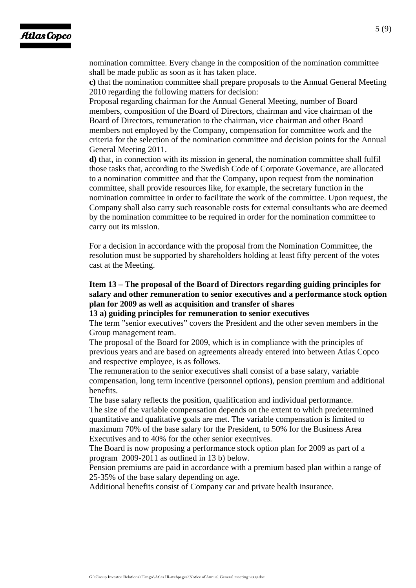nomination committee. Every change in the composition of the nomination committee shall be made public as soon as it has taken place.

**c)** that the nomination committee shall prepare proposals to the Annual General Meeting 2010 regarding the following matters for decision:

Proposal regarding chairman for the Annual General Meeting, number of Board members, composition of the Board of Directors, chairman and vice chairman of the Board of Directors, remuneration to the chairman, vice chairman and other Board members not employed by the Company, compensation for committee work and the criteria for the selection of the nomination committee and decision points for the Annual General Meeting 2011.

**d)** that, in connection with its mission in general, the nomination committee shall fulfil those tasks that, according to the Swedish Code of Corporate Governance, are allocated to a nomination committee and that the Company, upon request from the nomination committee, shall provide resources like, for example, the secretary function in the nomination committee in order to facilitate the work of the committee. Upon request, the Company shall also carry such reasonable costs for external consultants who are deemed by the nomination committee to be required in order for the nomination committee to carry out its mission.

For a decision in accordance with the proposal from the Nomination Committee, the resolution must be supported by shareholders holding at least fifty percent of the votes cast at the Meeting.

## **Item 13 – The proposal of the Board of Directors regarding guiding principles for salary and other remuneration to senior executives and a performance stock option plan for 2009 as well as acquisition and transfer of shares**

**13 a) guiding principles for remuneration to senior executives** 

The term "senior executives" covers the President and the other seven members in the Group management team.

The proposal of the Board for 2009, which is in compliance with the principles of previous years and are based on agreements already entered into between Atlas Copco and respective employee, is as follows.

The remuneration to the senior executives shall consist of a base salary, variable compensation, long term incentive (personnel options), pension premium and additional benefits.

The base salary reflects the position, qualification and individual performance. The size of the variable compensation depends on the extent to which predetermined quantitative and qualitative goals are met. The variable compensation is limited to maximum 70% of the base salary for the President, to 50% for the Business Area Executives and to 40% for the other senior executives.

The Board is now proposing a performance stock option plan for 2009 as part of a program 2009-2011 as outlined in 13 b) below.

Pension premiums are paid in accordance with a premium based plan within a range of 25-35% of the base salary depending on age.

Additional benefits consist of Company car and private health insurance.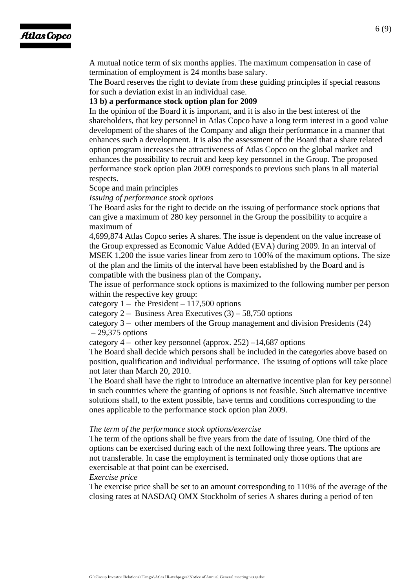# Atlas Copco

A mutual notice term of six months applies. The maximum compensation in case of termination of employment is 24 months base salary.

The Board reserves the right to deviate from these guiding principles if special reasons for such a deviation exist in an individual case.

### **13 b) a performance stock option plan for 2009**

In the opinion of the Board it is important, and it is also in the best interest of the shareholders, that key personnel in Atlas Copco have a long term interest in a good value development of the shares of the Company and align their performance in a manner that enhances such a development. It is also the assessment of the Board that a share related option program increases the attractiveness of Atlas Copco on the global market and enhances the possibility to recruit and keep key personnel in the Group. The proposed performance stock option plan 2009 corresponds to previous such plans in all material respects.

#### Scope and main principles

*Issuing of performance stock options* 

The Board asks for the right to decide on the issuing of performance stock options that can give a maximum of 280 key personnel in the Group the possibility to acquire a maximum of

4,699,874 Atlas Copco series A shares. The issue is dependent on the value increase of the Group expressed as Economic Value Added (EVA) during 2009. In an interval of MSEK 1,200 the issue varies linear from zero to 100% of the maximum options. The size of the plan and the limits of the interval have been established by the Board and is compatible with the business plan of the Company**.** 

The issue of performance stock options is maximized to the following number per person within the respective key group:

category  $1 -$  the President  $-117,500$  options

category 2 – Business Area Executives  $(3)$  – 58,750 options

category 3 – other members of the Group management and division Presidents (24)  $-29.375$  options

category  $4 -$  other key personnel (approx. 252)  $-14,687$  options

The Board shall decide which persons shall be included in the categories above based on position, qualification and individual performance. The issuing of options will take place not later than March 20, 2010.

The Board shall have the right to introduce an alternative incentive plan for key personnel in such countries where the granting of options is not feasible. Such alternative incentive solutions shall, to the extent possible, have terms and conditions corresponding to the ones applicable to the performance stock option plan 2009.

#### *The term of the performance stock options/exercise*

The term of the options shall be five years from the date of issuing. One third of the options can be exercised during each of the next following three years. The options are not transferable. In case the employment is terminated only those options that are exercisable at that point can be exercised.

*Exercise price* 

The exercise price shall be set to an amount corresponding to 110% of the average of the closing rates at NASDAQ OMX Stockholm of series A shares during a period of ten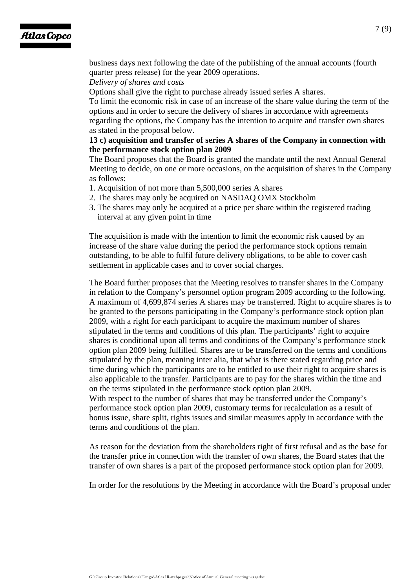# **Atlas Copco**

business days next following the date of the publishing of the annual accounts (fourth quarter press release) for the year 2009 operations.

## *Delivery of shares and costs*

Options shall give the right to purchase already issued series A shares.

To limit the economic risk in case of an increase of the share value during the term of the options and in order to secure the delivery of shares in accordance with agreements regarding the options, the Company has the intention to acquire and transfer own shares as stated in the proposal below.

## **13 c) acquisition and transfer of series A shares of the Company in connection with the performance stock option plan 2009**

The Board proposes that the Board is granted the mandate until the next Annual General Meeting to decide, on one or more occasions, on the acquisition of shares in the Company as follows:

- 1. Acquisition of not more than 5,500,000 series A shares
- 2. The shares may only be acquired on NASDAQ OMX Stockholm
- 3. The shares may only be acquired at a price per share within the registered trading interval at any given point in time

The acquisition is made with the intention to limit the economic risk caused by an increase of the share value during the period the performance stock options remain outstanding, to be able to fulfil future delivery obligations, to be able to cover cash settlement in applicable cases and to cover social charges.

The Board further proposes that the Meeting resolves to transfer shares in the Company in relation to the Company's personnel option program 2009 according to the following. A maximum of 4,699,874 series A shares may be transferred. Right to acquire shares is to be granted to the persons participating in the Company's performance stock option plan 2009, with a right for each participant to acquire the maximum number of shares stipulated in the terms and conditions of this plan. The participants' right to acquire shares is conditional upon all terms and conditions of the Company's performance stock option plan 2009 being fulfilled. Shares are to be transferred on the terms and conditions stipulated by the plan, meaning inter alia, that what is there stated regarding price and time during which the participants are to be entitled to use their right to acquire shares is also applicable to the transfer. Participants are to pay for the shares within the time and on the terms stipulated in the performance stock option plan 2009.

With respect to the number of shares that may be transferred under the Company's performance stock option plan 2009, customary terms for recalculation as a result of bonus issue, share split, rights issues and similar measures apply in accordance with the terms and conditions of the plan.

As reason for the deviation from the shareholders right of first refusal and as the base for the transfer price in connection with the transfer of own shares, the Board states that the transfer of own shares is a part of the proposed performance stock option plan for 2009.

In order for the resolutions by the Meeting in accordance with the Board's proposal under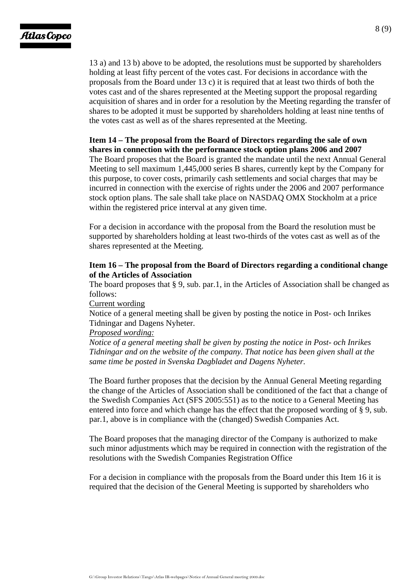13 a) and 13 b) above to be adopted, the resolutions must be supported by shareholders holding at least fifty percent of the votes cast. For decisions in accordance with the proposals from the Board under 13 c) it is required that at least two thirds of both the votes cast and of the shares represented at the Meeting support the proposal regarding acquisition of shares and in order for a resolution by the Meeting regarding the transfer of shares to be adopted it must be supported by shareholders holding at least nine tenths of the votes cast as well as of the shares represented at the Meeting.

#### **Item 14 – The proposal from the Board of Directors regarding the sale of own shares in connection with the performance stock option plans 2006 and 2007**

The Board proposes that the Board is granted the mandate until the next Annual General Meeting to sell maximum 1,445,000 series B shares, currently kept by the Company for this purpose, to cover costs, primarily cash settlements and social charges that may be incurred in connection with the exercise of rights under the 2006 and 2007 performance stock option plans. The sale shall take place on NASDAQ OMX Stockholm at a price within the registered price interval at any given time.

For a decision in accordance with the proposal from the Board the resolution must be supported by shareholders holding at least two-thirds of the votes cast as well as of the shares represented at the Meeting.

## **Item 16 – The proposal from the Board of Directors regarding a conditional change of the Articles of Association**

The board proposes that § 9, sub. par.1, in the Articles of Association shall be changed as follows:

### Current wording

Notice of a general meeting shall be given by posting the notice in Post- och Inrikes Tidningar and Dagens Nyheter.

#### *Proposed wording:*

*Notice of a general meeting shall be given by posting the notice in Post- och Inrikes Tidningar and on the website of the company. That notice has been given shall at the same time be posted in Svenska Dagbladet and Dagens Nyheter.* 

The Board further proposes that the decision by the Annual General Meeting regarding the change of the Articles of Association shall be conditioned of the fact that a change of the Swedish Companies Act (SFS 2005:551) as to the notice to a General Meeting has entered into force and which change has the effect that the proposed wording of § 9, sub. par.1, above is in compliance with the (changed) Swedish Companies Act.

The Board proposes that the managing director of the Company is authorized to make such minor adjustments which may be required in connection with the registration of the resolutions with the Swedish Companies Registration Office

For a decision in compliance with the proposals from the Board under this Item 16 it is required that the decision of the General Meeting is supported by shareholders who